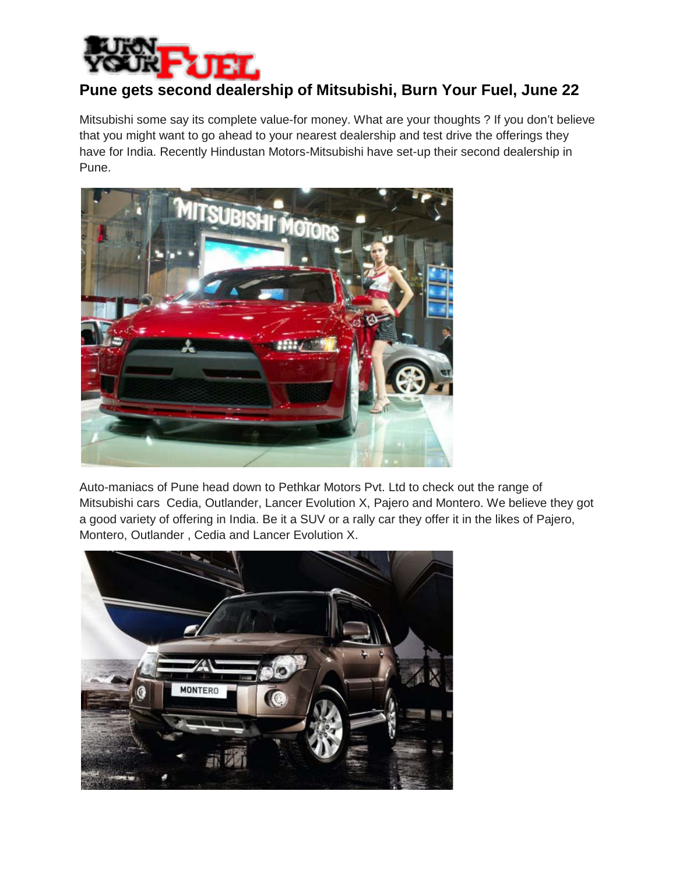

## **Pune gets second dealership of Mitsubishi, Burn Your Fuel, June 22**

Mitsubishi some say its complete value-for money. What are your thoughts ? If you don't believe that you might want to go ahead to your nearest dealership and test drive the offerings they have for India. Recently Hindustan Motors-Mitsubishi have set-up their second dealership in Pune.



Auto-maniacs of Pune head down to Pethkar Motors Pvt. Ltd to check out the range of Mitsubishi cars Cedia, Outlander, Lancer Evolution X, Pajero and Montero. We believe they got a good variety of offering in India. Be it a SUV or a rally car they offer it in the likes of Pajero, Montero, Outlander , Cedia and Lancer Evolution X.

![](_page_0_Picture_5.jpeg)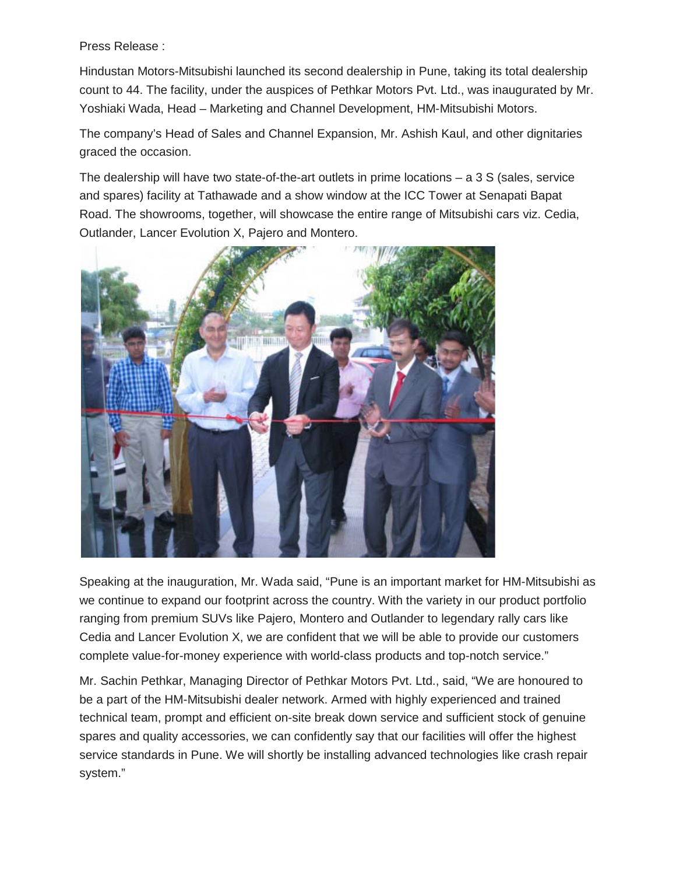Press Release :

Hindustan Motors-Mitsubishi launched its second dealership in Pune, taking its total dealership count to 44. The facility, under the auspices of Pethkar Motors Pvt. Ltd., was inaugurated by Mr. Yoshiaki Wada, Head – Marketing and Channel Development, HM-Mitsubishi Motors.

The company's Head of Sales and Channel Expansion, Mr. Ashish Kaul, and other dignitaries graced the occasion.

The dealership will have two state-of-the-art outlets in prime locations – a 3 S (sales, service and spares) facility at Tathawade and a show window at the ICC Tower at Senapati Bapat Road. The showrooms, together, will showcase the entire range of Mitsubishi cars viz. Cedia, Outlander, Lancer Evolution X, Pajero and Montero.

![](_page_1_Picture_4.jpeg)

Speaking at the inauguration, Mr. Wada said, "Pune is an important market for HM-Mitsubishi as we continue to expand our footprint across the country. With the variety in our product portfolio ranging from premium SUVs like Pajero, Montero and Outlander to legendary rally cars like Cedia and Lancer Evolution X, we are confident that we will be able to provide our customers complete value-for-money experience with world-class products and top-notch service."

Mr. Sachin Pethkar, Managing Director of Pethkar Motors Pvt. Ltd., said, "We are honoured to be a part of the HM-Mitsubishi dealer network. Armed with highly experienced and trained technical team, prompt and efficient on-site break down service and sufficient stock of genuine spares and quality accessories, we can confidently say that our facilities will offer the highest service standards in Pune. We will shortly be installing advanced technologies like crash repair system."